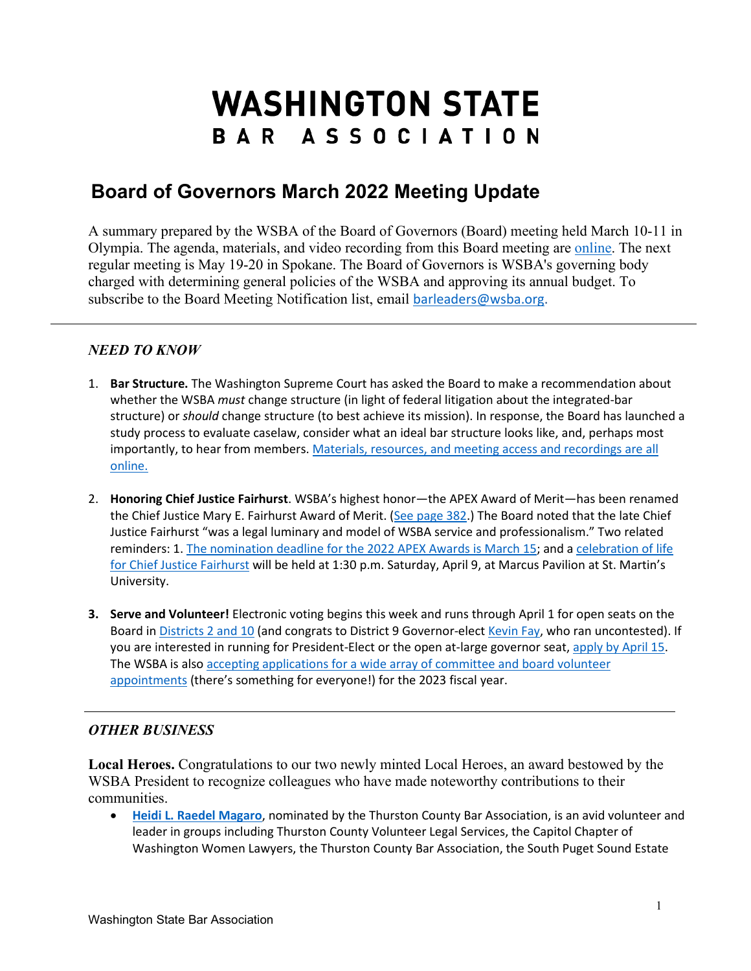## **WASHINGTON STATE** BAR ASSOCIATION

## **Board of Governors March 2022 Meeting Update**

A summary prepared by the WSBA of the Board of Governors (Board) meeting held March 10-11 in Olympia. The agenda, materials, and video recording from this Board meeting are [online.](https://www.wsba.org/about-wsba/who-we-are/board-of-governors) The next regular meeting is May 19-20 in Spokane. The Board of Governors is WSBA's governing body charged with determining general policies of the WSBA and approving its annual budget. To subscribe to the Board Meeting Notification list, email [barleaders@wsba.org.](mailto:barleaders@wsba.org)

## *NEED TO KNOW*

- 1. **Bar Structure.** The Washington Supreme Court has asked the Board to make a recommendation about whether the WSBA *must* change structure (in light of federal litigation about the integrated-bar structure) or *should* change structure (to best achieve its mission). In response, the Board has launched a study process to evaluate caselaw, consider what an ideal bar structure looks like, and, perhaps most importantly, to hear from members[. Materials, resources, and meeting access and recordings are](https://www.wsba.org/about-wsba/who-we-are/board-of-governors/bar-structure-study) all [online.](https://www.wsba.org/about-wsba/who-we-are/board-of-governors/bar-structure-study)
- 2. **Honoring Chief Justice Fairhurst**. WSBA's highest honor—the APEX Award of Merit—has been renamed the Chief Justice Mary E. Fairhurst Award of Merit. [\(See page 382.](https://www.wsba.org/docs/default-source/about-wsba/governance/bog-meeting-materials-2021---2022/march-2022/2022-march-bog-meeting-materials-reduced.pdf#page=382)) The Board noted that the late Chief Justice Fairhurst "was a legal luminary and model of WSBA service and professionalism." Two related reminders: 1. [The nomination deadline for the 2022 APEX Awards is March 15;](https://www.wsba.org/news-events/apex-awards) and a [celebration of life](https://funeralalternatives.org/tribute/details/232000/Mary-Fairhurst/obituary.html#tribute-start)  [for Chief Justice Fairhurst](https://funeralalternatives.org/tribute/details/232000/Mary-Fairhurst/obituary.html#tribute-start) will be held at 1:30 p.m. Saturday, April 9, at Marcus Pavilion at St. Martin's University.
- **3. Serve and Volunteer!** Electronic voting begins this week and runs through April 1 for open seats on the Board in [Districts 2 and 10](https://www.wsba.org/about-wsba/who-we-are/board-elections/meet-the-candidates) (and congrats to District 9 Governor-elect [Kevin Fay,](https://www.mywsba.org/PersonifyEbusiness/Default.aspx?TabID=1538&Usr_ID=000000018023) who ran uncontested). If you are interested in running for President-Elect or the open at-large governor seat, [apply by April 15.](https://www.wsba.org/about-wsba/who-we-are/board-elections/meet-the-candidates) The WSBA is also [accepting applications for a wide array of committee and board volunteer](https://www.wsba.org/connect-serve/volunteer-opportunities)  [appointments](https://www.wsba.org/connect-serve/volunteer-opportunities) (there's something for everyone!) for the 2023 fiscal year.

## *OTHER BUSINESS*

**Local Heroes.** Congratulations to our two newly minted Local Heroes, an award bestowed by the WSBA President to recognize colleagues who have made noteworthy contributions to their communities.

• **[Heidi L. Raedel Magaro](https://www.wsba.org/about-wsba/media-center/media-releases/heidi-l.-raedel-magaro-receives-washington-state-bar-association-local-hero-award-march-11-2022)**, nominated by the Thurston County Bar Association, is an avid volunteer and leader in groups including Thurston County Volunteer Legal Services, the Capitol Chapter of Washington Women Lawyers, the Thurston County Bar Association, the South Puget Sound Estate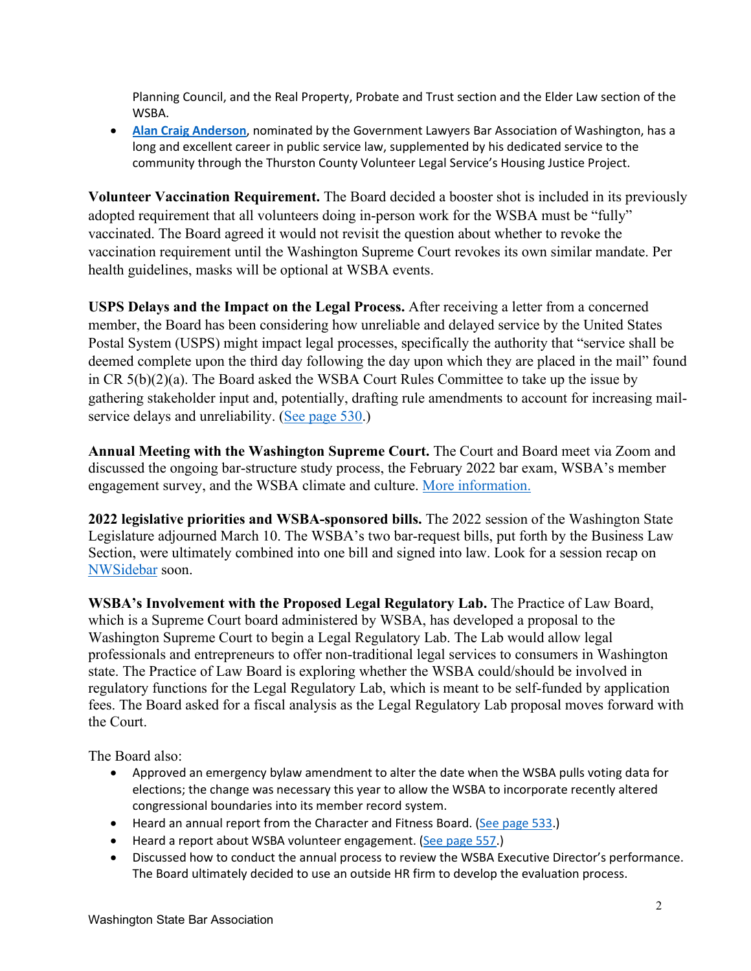Planning Council, and the Real Property, Probate and Trust section and the Elder Law section of the WSBA.

• **[Alan Craig Anderson](https://www.wsba.org/about-wsba/media-center/media-releases/alan-craig-anderson-local-hero)**, nominated by the Government Lawyers Bar Association of Washington, has a long and excellent career in public service law, supplemented by his dedicated service to the community through the Thurston County Volunteer Legal Service's Housing Justice Project.

**Volunteer Vaccination Requirement.** The Board decided a booster shot is included in its previously adopted requirement that all volunteers doing in-person work for the WSBA must be "fully" vaccinated. The Board agreed it would not revisit the question about whether to revoke the vaccination requirement until the Washington Supreme Court revokes its own similar mandate. Per health guidelines, masks will be optional at WSBA events.

**USPS Delays and the Impact on the Legal Process.** After receiving a letter from a concerned member, the Board has been considering how unreliable and delayed service by the United States Postal System (USPS) might impact legal processes, specifically the authority that "service shall be deemed complete upon the third day following the day upon which they are placed in the mail" found in CR 5(b)(2)(a). The Board asked the WSBA Court Rules Committee to take up the issue by gathering stakeholder input and, potentially, drafting rule amendments to account for increasing mailservice delays and unreliability. [\(See page 530.](https://www.wsba.org/docs/default-source/about-wsba/governance/bog-meeting-materials-2021---2022/march-2022/2022-march-bog-meeting-materials-reduced.pdf#page=530))

**Annual Meeting with the Washington Supreme Court.** The Court and Board meet via Zoom and discussed the ongoing bar-structure study process, the February 2022 bar exam, WSBA's member engagement survey, and the WSBA climate and culture. [More information.](https://www.wsba.org/docs/default-source/about-wsba/governance/bog-meeting-materials-2021---2022/march-2022/2022-march-bog-supreme-court-meeting-materials.pdf?sfvrsn=bf411f1_0)

**2022 legislative priorities and WSBA-sponsored bills.** The 2022 session of the Washington State Legislature adjourned March 10. The WSBA's two bar-request bills, put forth by the Business Law Section, were ultimately combined into one bill and signed into law. Look for a session recap on [NWSidebar](https://nwsidebar.wsba.org/) soon.

**WSBA's Involvement with the Proposed Legal Regulatory Lab.** The Practice of Law Board, which is a Supreme Court board administered by WSBA, has developed a proposal to the Washington Supreme Court to begin a Legal Regulatory Lab. The Lab would allow legal professionals and entrepreneurs to offer non-traditional legal services to consumers in Washington state. The Practice of Law Board is exploring whether the WSBA could/should be involved in regulatory functions for the Legal Regulatory Lab, which is meant to be self-funded by application fees. The Board asked for a fiscal analysis as the Legal Regulatory Lab proposal moves forward with the Court.

The Board also:

- Approved an emergency bylaw amendment to alter the date when the WSBA pulls voting data for elections; the change was necessary this year to allow the WSBA to incorporate recently altered congressional boundaries into its member record system.
- Heard an annual report from the Character and Fitness Board. [\(See page 533.](https://www.wsba.org/docs/default-source/about-wsba/governance/bog-meeting-materials-2021---2022/march-2022/2022-march-bog-meeting-materials-reduced.pdf#page=533))
- Heard a report about WSBA volunteer engagement. [\(See page 557.](https://www.wsba.org/docs/default-source/about-wsba/governance/bog-meeting-materials-2021---2022/march-2022/2022-march-bog-meeting-materials-reduced.pdf#page=557))
- Discussed how to conduct the annual process to review the WSBA Executive Director's performance. The Board ultimately decided to use an outside HR firm to develop the evaluation process.